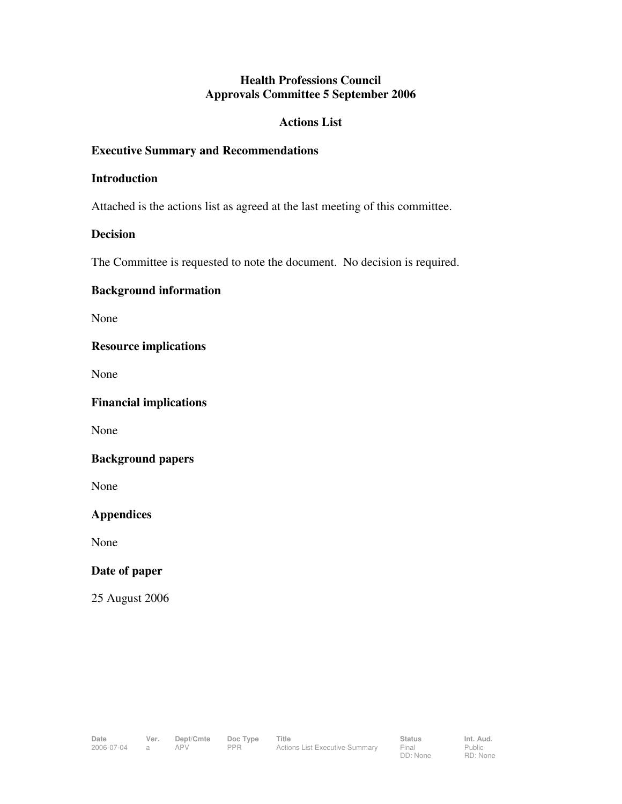## **Health Professions Council Approvals Committee 5 September 2006**

## **Actions List**

## **Executive Summary and Recommendations**

#### **Introduction**

Attached is the actions list as agreed at the last meeting of this committee.

## **Decision**

The Committee is requested to note the document. No decision is required.

# **Background information**

None

## **Resource implications**

None

**Financial implications** 

None

#### **Background papers**

None

**Appendices** 

None

#### **Date of paper**

25 August 2006

Public RD: None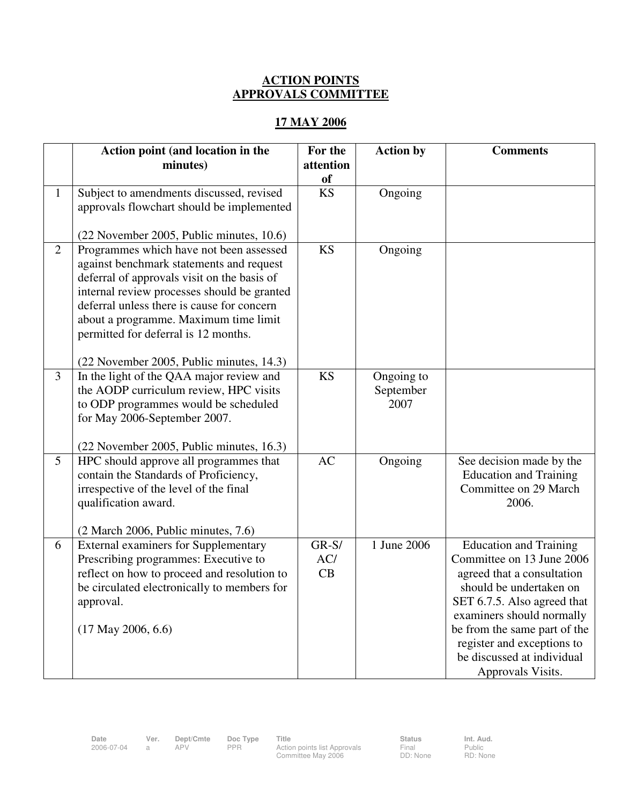# **ACTION POINTS APPROVALS COMMITTEE**

# **17 MAY 2006**

|                | Action point (and location in the<br>minutes)                                                                                                                                                                                                                                                                                                                | For the<br>attention<br>of | <b>Action by</b>                | <b>Comments</b>                                                                                                                                                                                                                                                                                  |
|----------------|--------------------------------------------------------------------------------------------------------------------------------------------------------------------------------------------------------------------------------------------------------------------------------------------------------------------------------------------------------------|----------------------------|---------------------------------|--------------------------------------------------------------------------------------------------------------------------------------------------------------------------------------------------------------------------------------------------------------------------------------------------|
| $\mathbf{1}$   | Subject to amendments discussed, revised<br>approvals flowchart should be implemented<br>(22 November 2005, Public minutes, 10.6)                                                                                                                                                                                                                            | <b>KS</b>                  | Ongoing                         |                                                                                                                                                                                                                                                                                                  |
| $\overline{2}$ | Programmes which have not been assessed<br>against benchmark statements and request<br>deferral of approvals visit on the basis of<br>internal review processes should be granted<br>deferral unless there is cause for concern<br>about a programme. Maximum time limit<br>permitted for deferral is 12 months.<br>(22 November 2005, Public minutes, 14.3) | <b>KS</b>                  | Ongoing                         |                                                                                                                                                                                                                                                                                                  |
| $\overline{3}$ | In the light of the QAA major review and<br>the AODP curriculum review, HPC visits<br>to ODP programmes would be scheduled<br>for May 2006-September 2007.<br>(22 November 2005, Public minutes, 16.3)                                                                                                                                                       | <b>KS</b>                  | Ongoing to<br>September<br>2007 |                                                                                                                                                                                                                                                                                                  |
| 5              | HPC should approve all programmes that<br>contain the Standards of Proficiency,<br>irrespective of the level of the final<br>qualification award.<br>$(2 \text{ March } 2006, \text{ Public minutes}, 7.6)$                                                                                                                                                  | AC                         | Ongoing                         | See decision made by the<br><b>Education and Training</b><br>Committee on 29 March<br>2006.                                                                                                                                                                                                      |
| 6              | <b>External examiners for Supplementary</b><br>Prescribing programmes: Executive to<br>reflect on how to proceed and resolution to<br>be circulated electronically to members for<br>approval.<br>$(17$ May 2006, 6.6)                                                                                                                                       | $GR-S/$<br>AC/<br>CB       | 1 June 2006                     | <b>Education and Training</b><br>Committee on 13 June 2006<br>agreed that a consultation<br>should be undertaken on<br>SET 6.7.5. Also agreed that<br>examiners should normally<br>be from the same part of the<br>register and exceptions to<br>be discussed at individual<br>Approvals Visits. |

**Date Ver. Dept/Cmte Doc Type Title Status Status Int. Aud.**<br>2006-07-04 a APV PPR Action points list Approvals Final Public Public

2006-07-04 a APV PPR Action points list Approvals Committee May 2006

Final DD: None Public RD: None